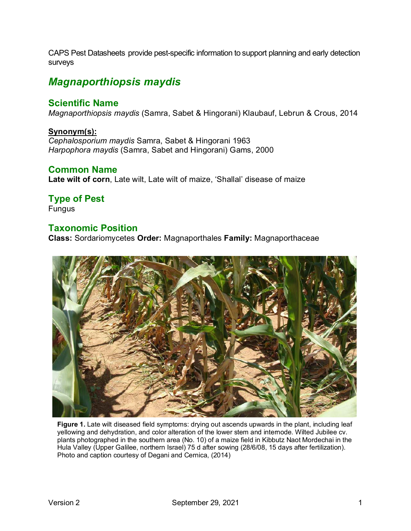CAPS Pest Datasheets provide pest-specific information to support planning and early detection surveys

# *Magnaporthiopsis maydis*

#### **Scientific Name**

*Magnaporthiopsis maydis* (Samra, Sabet & Hingorani) Klaubauf, Lebrun & Crous, 2014

#### **Synonym(s):**

*Cephalosporium maydis* Samra, Sabet & Hingorani 1963 *Harpophora maydis* (Samra, Sabet and Hingorani) Gams, 2000

#### **Common Name**

**Late wilt of corn**, Late wilt, Late wilt of maize, 'Shallal' disease of maize

## **Type of Pest**

Fungus

#### **Taxonomic Position**

**Class:** Sordariomycetes **Order:** Magnaporthales **Family:** Magnaporthaceae



**Figure 1.** Late wilt diseased field symptoms: drying out ascends upwards in the plant, including leaf yellowing and dehydration, and color alteration of the lower stem and internode. Wilted Jubilee cv. plants photographed in the southern area (No. 10) of a maize field in Kibbutz Naot Mordechai in the Hula Valley (Upper Galilee, northern Israel) 75 d after sowing (28/6/08, 15 days after fertilization). Photo and caption courtesy of Degani and Cernica, (2014)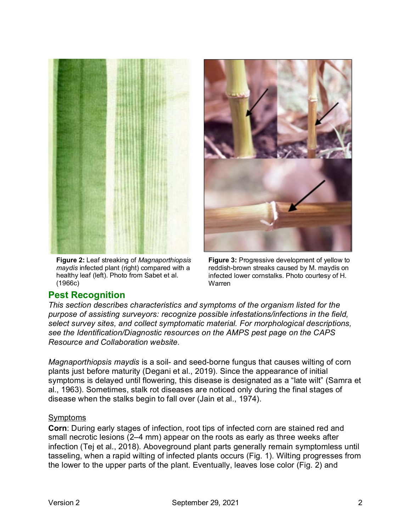

**Figure 2:** Leaf streaking of *Magnaporthiopsis maydis* infected plant (right) compared with a healthy leaf (left). Photo from Sabet et al. (1966c)



**Figure 3:** Progressive development of yellow to reddish-brown streaks caused by M. maydis on infected lower cornstalks. Photo courtesy of H. Warren

### **Pest Recognition**

*This section describes characteristics and symptoms of the organism listed for the purpose of assisting surveyors: recognize possible infestations/infections in the field, select survey sites, and collect symptomatic material. For morphological descriptions, see the Identification/Diagnostic resources on the AMPS pest page on the CAPS Resource and Collaboration website.*

*Magnaporthiopsis maydis* is a soil- and seed-borne fungus that causes wilting of corn plants just before maturity (Degani et al., 2019). Since the appearance of initial symptoms is delayed until flowering, this disease is designated as a "late wilt" (Samra et al., 1963). Sometimes, stalk rot diseases are noticed only during the final stages of disease when the stalks begin to fall over (Jain et al., 1974).

#### Symptoms

**Corn**: During early stages of infection, root tips of infected corn are stained red and small necrotic lesions (2–4 mm) appear on the roots as early as three weeks after infection (Tej et al., 2018). Aboveground plant parts generally remain symptomless until tasseling, when a rapid wilting of infected plants occurs (Fig. 1). Wilting progresses from the lower to the upper parts of the plant. Eventually, leaves lose color (Fig. 2) and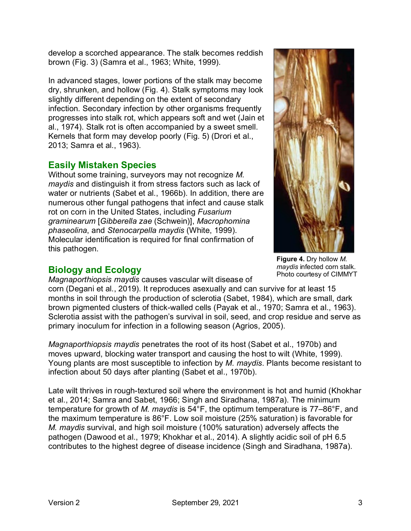develop a scorched appearance. The stalk becomes reddish brown (Fig. 3) (Samra et al., 1963; White, 1999).

In advanced stages, lower portions of the stalk may become dry, shrunken, and hollow (Fig. 4). Stalk symptoms may look slightly different depending on the extent of secondary infection. Secondary infection by other organisms frequently progresses into stalk rot, which appears soft and wet (Jain et al., 1974). Stalk rot is often accompanied by a sweet smell. Kernels that form may develop poorly (Fig. 5) (Drori et al., 2013; Samra et al., 1963).

## **Easily Mistaken Species**

Without some training, surveyors may not recognize *M. maydis* and distinguish it from stress factors such as lack of water or nutrients (Sabet et al., 1966b). In addition, there are numerous other fungal pathogens that infect and cause stalk rot on corn in the United States, including *Fusarium graminearum* [*Gibberella zae* (Schwein)], *Macrophomina phaseolina*, and *Stenocarpella maydis* (White, 1999). Molecular identification is required for final confirmation of this pathogen.

## **Biology and Ecology**

*Magnaporthiopsis maydis* causes vascular wilt disease of

corn (Degani et al., 2019). It reproduces asexually and can survive for at least 15 months in soil through the production of sclerotia (Sabet, 1984), which are small, dark brown pigmented clusters of thick-walled cells (Payak et al., 1970; Samra et al., 1963). Sclerotia assist with the pathogen's survival in soil, seed, and crop residue and serve as primary inoculum for infection in a following season (Agrios, 2005).

*Magnaporthiopsis maydis* penetrates the root of its host (Sabet et al., 1970b) and moves upward, blocking water transport and causing the host to wilt (White, 1999). Young plants are most susceptible to infection by *M. maydis*. Plants become resistant to infection about 50 days after planting (Sabet et al., 1970b).

Late wilt thrives in rough-textured soil where the environment is hot and humid (Khokhar et al., 2014; Samra and Sabet, 1966; Singh and Siradhana, 1987a). The minimum temperature for growth of *M. maydis* is 54°F, the optimum temperature is 77–86°F, and the maximum temperature is 86°F. Low soil moisture (25% saturation) is favorable for *M. maydis* survival, and high soil moisture (100% saturation) adversely affects the pathogen (Dawood et al., 1979; Khokhar et al., 2014). A slightly acidic soil of pH 6.5 contributes to the highest degree of disease incidence (Singh and Siradhana, 1987a).



**Figure 4.** Dry hollow *M. maydis* infected corn stalk. Photo courtesy of CIMMYT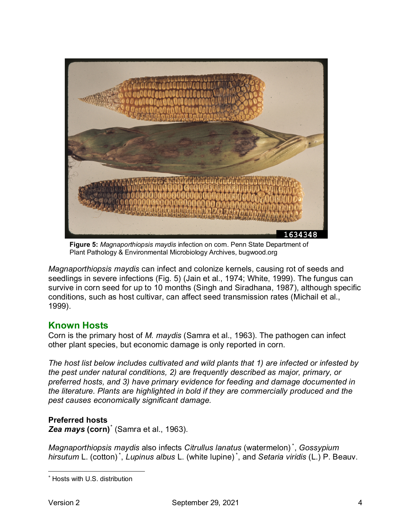

**Figure 5:** *Magnaporthiopsis maydis* infection on corn. Penn State Department of Plant Pathology & Environmental Microbiology Archives, bugwood.org

*Magnaporthiopsis maydis* can infect and colonize kernels, causing rot of seeds and seedlings in severe infections (Fig. 5) (Jain et al., 1974; White, 1999). The fungus can survive in corn seed for up to 10 months (Singh and Siradhana, 1987), although specific conditions, such as host cultivar, can affect seed transmission rates (Michail et al., 1999).

## **Known Hosts**

Corn is the primary host of *M. maydis* (Samra et al., 1963). The pathogen can infect other plant species, but economic damage is only reported in corn.

*The host list below includes cultivated and wild plants that 1) are infected or infested by the pest under natural conditions, 2) are frequently described as major, primary, or preferred hosts, and 3) have primary evidence for feeding and damage documented in the literature. Plants are highlighted in bold if they are commercially produced and the pest causes economically significant damage.* 

### **Preferred hosts**

*Zea mays* **(corn)**[\\*](#page-3-0) (Samra et al., 1963).

*Magnaporthiopsis maydis* also infects *Citrullus lanatus* (watermelon) \* , *Gossypium hirsutum* L. (cotton) \* , *Lupinus albus* L. (white lupine) \* , and *Setaria viridis* (L.) P. Beauv.

<span id="page-3-0"></span><sup>\*</sup> Hosts with U.S. distribution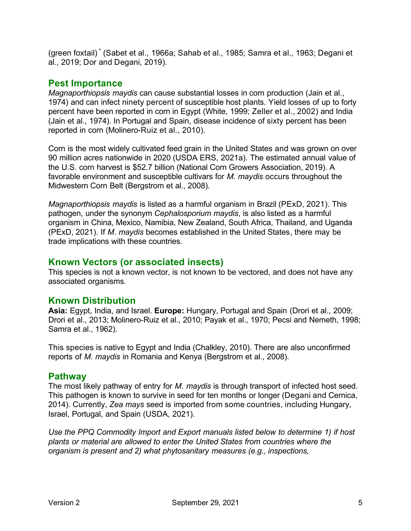(green foxtail) \* (Sabet et al., 1966a; Sahab et al., 1985; Samra et al., 1963; Degani et al., 2019; Dor and Degani, 2019).

### **Pest Importance**

*Magnaporthiopsis maydis* can cause substantial losses in corn production (Jain et al., 1974) and can infect ninety percent of susceptible host plants. Yield losses of up to forty percent have been reported in corn in Egypt (White, 1999; Zeller et al., 2002) and India (Jain et al., 1974). In Portugal and Spain, disease incidence of sixty percent has been reported in corn (Molinero-Ruiz et al., 2010).

Corn is the most widely cultivated feed grain in the United States and was grown on over 90 million acres nationwide in 2020 (USDA ERS, 2021a). The estimated annual value of the U.S. corn harvest is \$52.7 billion (National Corn Growers Association, 2019). A favorable environment and susceptible cultivars for *M. maydis* occurs throughout the Midwestern Corn Belt (Bergstrom et al., 2008).

*Magnaporthiopsis maydis* is listed as a harmful organism in Brazil (PExD, 2021). This pathogen, under the synonym *Cephalosporium maydis*, is also listed as a harmful organism in China, Mexico, Namibia, New Zealand, South Africa, Thailand, and Uganda (PExD, 2021). If *M*. *maydis* becomes established in the United States, there may be trade implications with these countries.

## **Known Vectors (or associated insects)**

This species is not a known vector, is not known to be vectored, and does not have any associated organisms.

### **Known Distribution**

**Asia:** Egypt, India, and Israel. **Europe:** Hungary, Portugal and Spain (Drori et al., 2009; Drori et al., 2013; Molinero-Ruiz et al., 2010; Payak et al., 1970; Pecsi and Nemeth, 1998; Samra et al., 1962).

This species is native to Egypt and India (Chalkley, 2010). There are also unconfirmed reports of *M*. *maydis* in Romania and Kenya (Bergstrom et al., 2008).

### **Pathway**

The most likely pathway of entry for *M*. *maydis* is through transport of infected host seed. This pathogen is known to survive in seed for ten months or longer (Degani and Cernica, 2014). Currently, *Zea mays* seed is imported from some countries, including Hungary, Israel, Portugal, and Spain (USDA, 2021).

*Use the PPQ Commodity Import and Export manuals listed below to determine 1) if host plants or material are allowed to enter the United States from countries where the organism is present and 2) what phytosanitary measures (e.g., inspections,*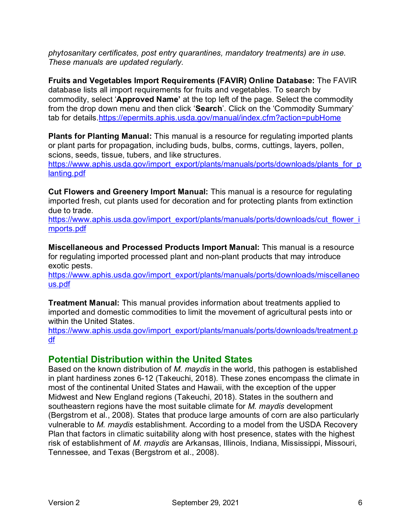*phytosanitary certificates, post entry quarantines, mandatory treatments) are in use. These manuals are updated regularly.* 

**Fruits and Vegetables Import Requirements (FAVIR) Online Database:** The FAVIR database lists all import requirements for fruits and vegetables. To search by commodity, select '**Approved Name'** at the top left of the page. Select the commodity from the drop down menu and then click '**Search**'. Click on the 'Commodity Summary' tab for details[.https://epermits.aphis.usda.gov/manual/index.cfm?action=pubHome](https://epermits.aphis.usda.gov/manual/index.cfm?action=pubHome)

**Plants for Planting Manual:** This manual is a resource for regulating imported plants or plant parts for propagation, including buds, bulbs, corms, cuttings, layers, pollen, scions, seeds, tissue, tubers, and like structures.

[https://www.aphis.usda.gov/import\\_export/plants/manuals/ports/downloads/plants\\_for\\_p](https://www.aphis.usda.gov/import_export/plants/manuals/ports/downloads/plants_for_planting.pdf)\_ [lanting.pdf](https://www.aphis.usda.gov/import_export/plants/manuals/ports/downloads/plants_for_planting.pdf)

**Cut Flowers and Greenery Import Manual:** This manual is a resource for regulating imported fresh, cut plants used for decoration and for protecting plants from extinction due to trade.

[https://www.aphis.usda.gov/import\\_export/plants/manuals/ports/downloads/cut\\_flower\\_i](https://www.aphis.usda.gov/import_export/plants/manuals/ports/downloads/cut_flower_imports.pdf) [mports.pdf](https://www.aphis.usda.gov/import_export/plants/manuals/ports/downloads/cut_flower_imports.pdf)

**Miscellaneous and Processed Products Import Manual:** This manual is a resource for regulating imported processed plant and non-plant products that may introduce exotic pests.

[https://www.aphis.usda.gov/import\\_export/plants/manuals/ports/downloads/miscellaneo](https://www.aphis.usda.gov/import_export/plants/manuals/ports/downloads/miscellaneous.pdf) [us.pdf](https://www.aphis.usda.gov/import_export/plants/manuals/ports/downloads/miscellaneous.pdf)

**Treatment Manual:** This manual provides information about treatments applied to imported and domestic commodities to limit the movement of agricultural pests into or within the United States.

[https://www.aphis.usda.gov/import\\_export/plants/manuals/ports/downloads/treatment.p](https://www.aphis.usda.gov/import_export/plants/manuals/ports/downloads/treatment.pdf) [df](https://www.aphis.usda.gov/import_export/plants/manuals/ports/downloads/treatment.pdf) 

### **Potential Distribution within the United States**

Based on the known distribution of *M. maydis* in the world, this pathogen is established in plant hardiness zones 6-12 (Takeuchi, 2018). These zones encompass the climate in most of the continental United States and Hawaii, with the exception of the upper Midwest and New England regions (Takeuchi, 2018). States in the southern and southeastern regions have the most suitable climate for *M. maydis* development (Bergstrom et al., 2008). States that produce large amounts of corn are also particularly vulnerable to *M. maydis* establishment. According to a model from the USDA Recovery Plan that factors in climatic suitability along with host presence, states with the highest risk of establishment of *M*. *maydis* are Arkansas, Illinois, Indiana, Mississippi, Missouri, Tennessee, and Texas (Bergstrom et al., 2008).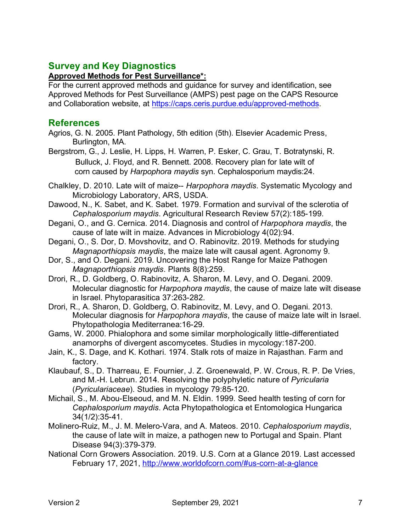## **Survey and Key Diagnostics**

#### **Approved Methods for Pest Surveillance\*:**

For the current approved methods and guidance for survey and identification, see Approved Methods for Pest Surveillance (AMPS) pest page on the CAPS Resource and Collaboration website, at [https://caps.ceris.purdue.edu/approved-methods.](https://caps.ceris.purdue.edu/approved-methods)

### **References**

- Agrios, G. N. 2005. Plant Pathology, 5th edition (5th). Elsevier Academic Press, Burlington, MA.
- Bergstrom, G., J. Leslie, H. Lipps, H. Warren, P. Esker, C. Grau, T. Botratynski, R. Bulluck, J. Floyd, and R. Bennett. 2008. Recovery plan for late wilt of corn caused by *Harpophora maydis* syn. Cephalosporium maydis:24.
- Chalkley, D. 2010. Late wilt of maize-- *Harpophora maydis*. Systematic Mycology and Microbiology Laboratory, ARS, USDA.
- Dawood, N., K. Sabet, and K. Sabet. 1979. Formation and survival of the sclerotia of *Cephalosporium maydis*. Agricultural Research Review 57(2):185-199.
- Degani, O., and G. Cernica. 2014. Diagnosis and control of *Harpophora maydis*, the cause of late wilt in maize. Advances in Microbiology 4(02):94.
- Degani, O., S. Dor, D. Movshovitz, and O. Rabinovitz. 2019. Methods for studying *Magnaporthiopsis maydis*, the maize late wilt causal agent. Agronomy 9.
- Dor, S., and O. Degani. 2019. Uncovering the Host Range for Maize Pathogen *Magnaporthiopsis maydis*. Plants 8(8):259.
- Drori, R., D. Goldberg, O. Rabinovitz, A. Sharon, M. Levy, and O. Degani. 2009. Molecular diagnostic for *Harpophora maydis*, the cause of maize late wilt disease in Israel. Phytoparasitica 37:263-282.
- Drori, R., A. Sharon, D. Goldberg, O. Rabinovitz, M. Levy, and O. Degani. 2013. Molecular diagnosis for *Harpophora maydis*, the cause of maize late wilt in Israel. Phytopathologia Mediterranea:16-29.
- Gams, W. 2000. Phialophora and some similar morphologically little-differentiated anamorphs of divergent ascomycetes. Studies in mycology:187-200.
- Jain, K., S. Dage, and K. Kothari. 1974. Stalk rots of maize in Rajasthan. Farm and factory.
- Klaubauf, S., D. Tharreau, E. Fournier, J. Z. Groenewald, P. W. Crous, R. P. De Vries, and M.-H. Lebrun. 2014. Resolving the polyphyletic nature of *Pyricularia*  (*Pyriculariaceae*). Studies in mycology 79:85-120.
- Michail, S., M. Abou-Elseoud, and M. N. Eldin. 1999. Seed health testing of corn for *Cephalosporium maydis*. Acta Phytopathologica et Entomologica Hungarica 34(1/2):35-41.
- Molinero-Ruiz, M., J. M. Melero-Vara, and A. Mateos. 2010. *Cephalosporium maydis*, the cause of late wilt in maize, a pathogen new to Portugal and Spain. Plant Disease 94(3):379-379.
- National Corn Growers Association. 2019. U.S. Corn at a Glance 2019. Last accessed February 17, 2021,<http://www.worldofcorn.com/#us-corn-at-a-glance>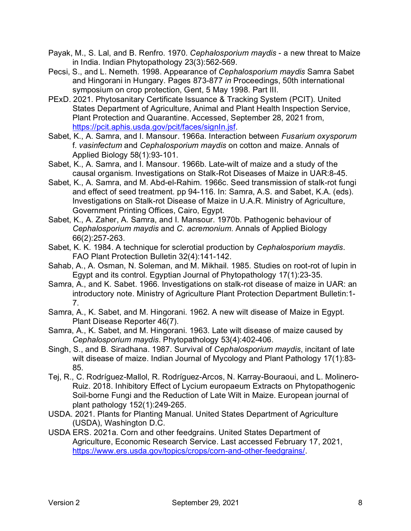- Payak, M., S. Lal, and B. Renfro. 1970. *Cephalosporium maydis* a new threat to Maize in India. Indian Phytopathology 23(3):562-569.
- Pecsi, S., and L. Nemeth. 1998. Appearance of *Cephalosporium maydis* Samra Sabet and Hingorani in Hungary. Pages 873-877 *in* Proceedings, 50th international symposium on crop protection, Gent, 5 May 1998. Part III.
- PExD. 2021. Phytosanitary Certificate Issuance & Tracking System (PCIT). United States Department of Agriculture, Animal and Plant Health Inspection Service, Plant Protection and Quarantine. Accessed, September 28, 2021 from, [https://pcit.aphis.usda.gov/pcit/faces/signIn.jsf.](https://pcit.aphis.usda.gov/pcit/faces/signIn.jsf)
- Sabet, K., A. Samra, and I. Mansour. 1966a. Interaction between *Fusarium oxysporum*  f. *vasinfectum* and *Cephalosporium maydis* on cotton and maize. Annals of Applied Biology 58(1):93-101.
- Sabet, K., A. Samra, and I. Mansour. 1966b. Late-wilt of maize and a study of the causal organism. Investigations on Stalk-Rot Diseases of Maize in UAR:8-45.
- Sabet, K., A. Samra, and M. Abd-el-Rahim. 1966c. Seed transmission of stalk-rot fungi and effect of seed treatment. pp 94-116. In: Samra, A.S. and Sabet, K.A. (eds). Investigations on Stalk-rot Disease of Maize in U.A.R. Ministry of Agriculture, Government Printing Offices, Cairo, Egypt.
- Sabet, K., A. Zaher, A. Samra, and I. Mansour. 1970b. Pathogenic behaviour of *Cephalosporium maydis* and *C. acremonium*. Annals of Applied Biology 66(2):257-263.
- Sabet, K. K. 1984. A technique for sclerotial production by *Cephalosporium maydis*. FAO Plant Protection Bulletin 32(4):141-142.
- Sahab, A., A. Osman, N. Soleman, and M. Mikhail. 1985. Studies on root-rot of lupin in Egypt and its control. Egyptian Journal of Phytopathology 17(1):23-35.
- Samra, A., and K. Sabet. 1966. Investigations on stalk-rot disease of maize in UAR: an introductory note. Ministry of Agriculture Plant Protection Department Bulletin:1- 7.
- Samra, A., K. Sabet, and M. Hingorani. 1962. A new wilt disease of Maize in Egypt. Plant Disease Reporter 46(7).
- Samra, A., K. Sabet, and M. Hingorani. 1963. Late wilt disease of maize caused by *Cephalosporium maydis*. Phytopathology 53(4):402-406.
- Singh, S., and B. Siradhana. 1987. Survival of *Cephalosporium maydis*, incitant of late wilt disease of maize. Indian Journal of Mycology and Plant Pathology 17(1):83- 85.
- Tej, R., C. Rodríguez-Mallol, R. Rodríguez-Arcos, N. Karray-Bouraoui, and L. Molinero-Ruiz. 2018. Inhibitory Effect of Lycium europaeum Extracts on Phytopathogenic Soil-borne Fungi and the Reduction of Late Wilt in Maize. European journal of plant pathology 152(1):249-265.
- USDA. 2021. Plants for Planting Manual. United States Department of Agriculture (USDA), Washington D.C.
- USDA ERS. 2021a. Corn and other feedgrains. United States Department of Agriculture, Economic Research Service. Last accessed February 17, 2021, [https://www.ers.usda.gov/topics/crops/corn-and-other-feedgrains/.](https://www.ers.usda.gov/topics/crops/corn-and-other-feedgrains/)